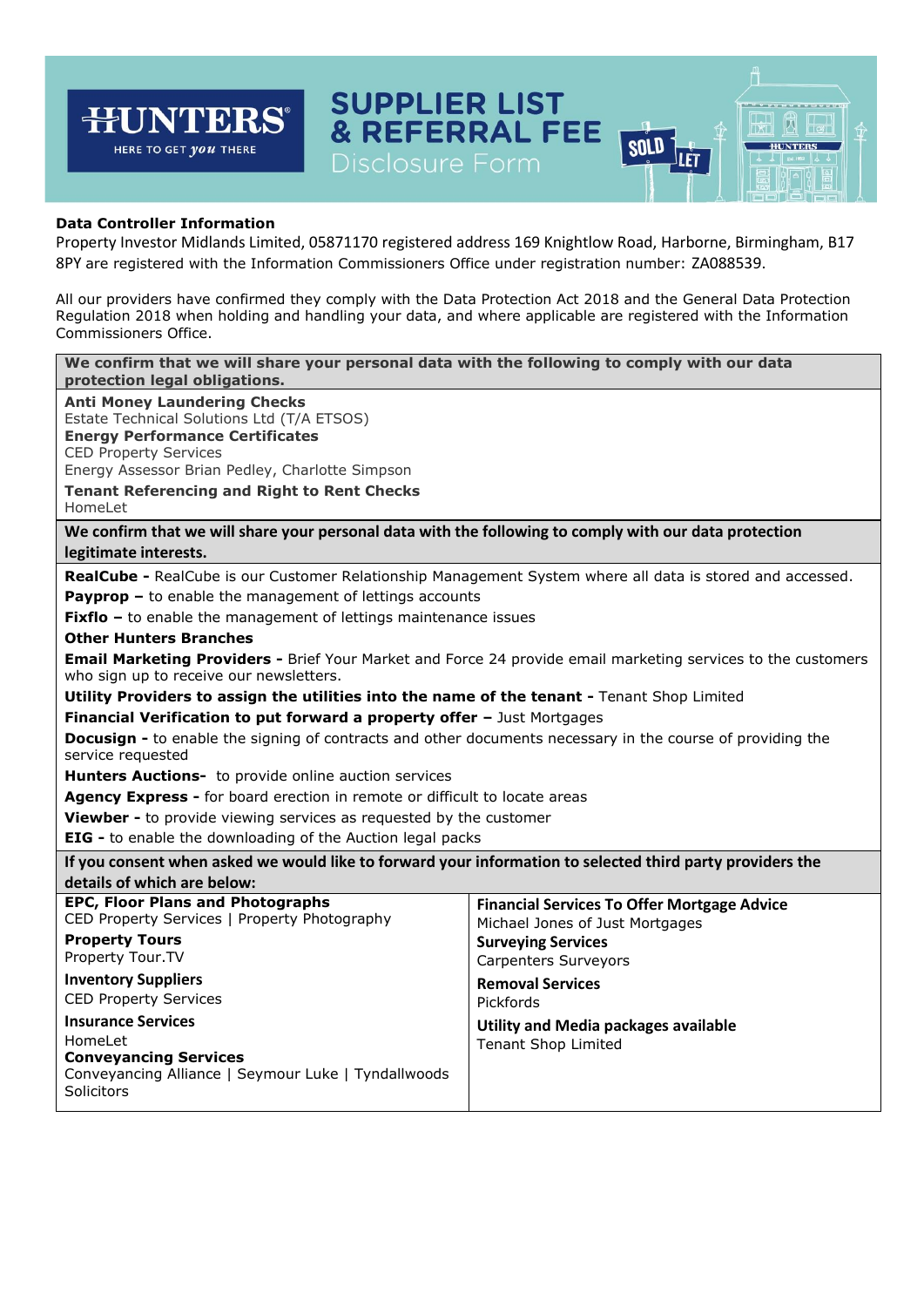## **SUPPLIER LIST<br>& REFERRAL FEE HUNTERS®** 网 गंभा **SOLD HUNTERS** HERE TO GET *you* THERE ILÈT Disclosure Form

# **Data Controller Information**

Property Investor Midlands Limited, 05871170 registered address 169 Knightlow Road, Harborne, Birmingham, B17 8PY are registered with the Information Commissioners Office under registration number: ZA088539.

All our providers have confirmed they comply with the Data Protection Act 2018 and the General Data Protection Regulation 2018 when holding and handling your data, and where applicable are registered with the Information Commissioners Office.

| We confirm that we will share your personal data with the following to comply with our data<br>protection legal obligations.                                                                                                                                                                                                                                                                                                                                                                                                                                                                                                                                                                                                                                                                                                                                                                                                                                                                                                                              |                                                                                                                                                                                                                                                                        |
|-----------------------------------------------------------------------------------------------------------------------------------------------------------------------------------------------------------------------------------------------------------------------------------------------------------------------------------------------------------------------------------------------------------------------------------------------------------------------------------------------------------------------------------------------------------------------------------------------------------------------------------------------------------------------------------------------------------------------------------------------------------------------------------------------------------------------------------------------------------------------------------------------------------------------------------------------------------------------------------------------------------------------------------------------------------|------------------------------------------------------------------------------------------------------------------------------------------------------------------------------------------------------------------------------------------------------------------------|
| <b>Anti Money Laundering Checks</b><br>Estate Technical Solutions Ltd (T/A ETSOS)<br><b>Energy Performance Certificates</b><br><b>CED Property Services</b><br>Energy Assessor Brian Pedley, Charlotte Simpson<br><b>Tenant Referencing and Right to Rent Checks</b><br>HomeLet                                                                                                                                                                                                                                                                                                                                                                                                                                                                                                                                                                                                                                                                                                                                                                           |                                                                                                                                                                                                                                                                        |
| We confirm that we will share your personal data with the following to comply with our data protection                                                                                                                                                                                                                                                                                                                                                                                                                                                                                                                                                                                                                                                                                                                                                                                                                                                                                                                                                    |                                                                                                                                                                                                                                                                        |
| legitimate interests.                                                                                                                                                                                                                                                                                                                                                                                                                                                                                                                                                                                                                                                                                                                                                                                                                                                                                                                                                                                                                                     |                                                                                                                                                                                                                                                                        |
| RealCube - RealCube is our Customer Relationship Management System where all data is stored and accessed.<br><b>Payprop -</b> to enable the management of lettings accounts<br><b>Fixflo</b> $-$ to enable the management of lettings maintenance issues<br><b>Other Hunters Branches</b><br>Email Marketing Providers - Brief Your Market and Force 24 provide email marketing services to the customers<br>who sign up to receive our newsletters.<br>Utility Providers to assign the utilities into the name of the tenant - Tenant Shop Limited<br>Financial Verification to put forward a property offer - Just Mortgages<br><b>Docusign -</b> to enable the signing of contracts and other documents necessary in the course of providing the<br>service requested<br><b>Hunters Auctions-</b> to provide online auction services<br>Agency Express - for board erection in remote or difficult to locate areas<br>Viewber - to provide viewing services as requested by the customer<br>EIG - to enable the downloading of the Auction legal packs |                                                                                                                                                                                                                                                                        |
| If you consent when asked we would like to forward your information to selected third party providers the<br>details of which are below:                                                                                                                                                                                                                                                                                                                                                                                                                                                                                                                                                                                                                                                                                                                                                                                                                                                                                                                  |                                                                                                                                                                                                                                                                        |
| <b>EPC, Floor Plans and Photographs</b><br>CED Property Services   Property Photography<br><b>Property Tours</b><br>Property Tour.TV<br><b>Inventory Suppliers</b><br><b>CED Property Services</b><br><b>Insurance Services</b><br>HomeLet<br><b>Conveyancing Services</b><br>Conveyancing Alliance   Seymour Luke   Tyndallwoods<br>Solicitors                                                                                                                                                                                                                                                                                                                                                                                                                                                                                                                                                                                                                                                                                                           | <b>Financial Services To Offer Mortgage Advice</b><br>Michael Jones of Just Mortgages<br><b>Surveying Services</b><br><b>Carpenters Surveyors</b><br><b>Removal Services</b><br>Pickfords<br><b>Utility and Media packages available</b><br><b>Tenant Shop Limited</b> |